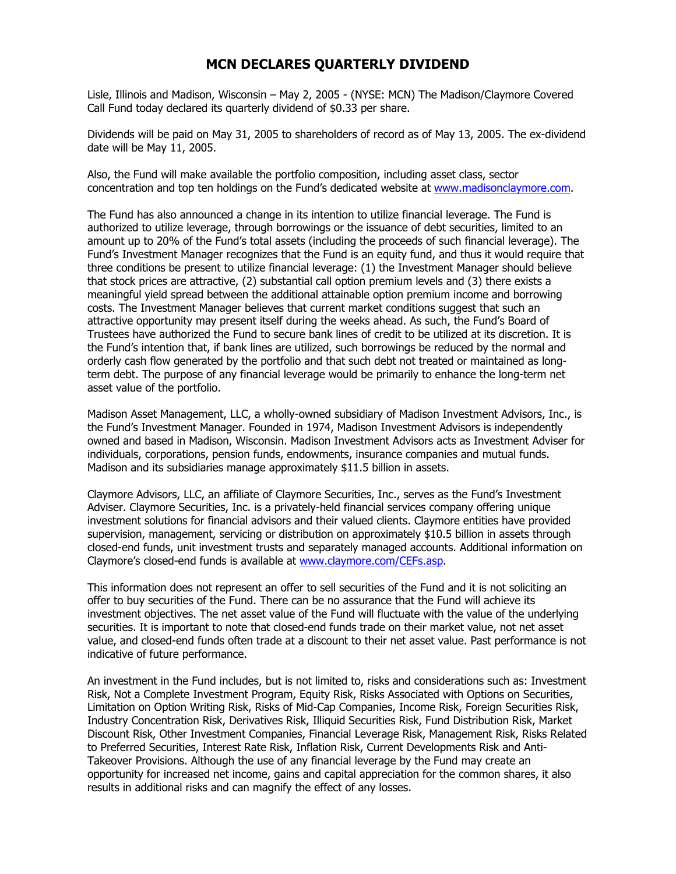## **MCN DECLARES QUARTERLY DIVIDEND**

Lisle, Illinois and Madison, Wisconsin – May 2, 2005 - (NYSE: MCN) The Madison/Claymore Covered Call Fund today declared its quarterly dividend of \$0.33 per share.

Dividends will be paid on May 31, 2005 to shareholders of record as of May 13, 2005. The ex-dividend date will be May 11, 2005.

Also, the Fund will make available the portfolio composition, including asset class, sector concentration and top ten holdings on the Fund's dedicated website at www.madisonclaymore.com.

The Fund has also announced a change in its intention to utilize financial leverage. The Fund is authorized to utilize leverage, through borrowings or the issuance of debt securities, limited to an amount up to 20% of the Fund's total assets (including the proceeds of such financial leverage). The Fund's Investment Manager recognizes that the Fund is an equity fund, and thus it would require that three conditions be present to utilize financial leverage: (1) the Investment Manager should believe that stock prices are attractive, (2) substantial call option premium levels and (3) there exists a meaningful yield spread between the additional attainable option premium income and borrowing costs. The Investment Manager believes that current market conditions suggest that such an attractive opportunity may present itself during the weeks ahead. As such, the Fund's Board of Trustees have authorized the Fund to secure bank lines of credit to be utilized at its discretion. It is the Fund's intention that, if bank lines are utilized, such borrowings be reduced by the normal and orderly cash flow generated by the portfolio and that such debt not treated or maintained as longterm debt. The purpose of any financial leverage would be primarily to enhance the long-term net asset value of the portfolio.

Madison Asset Management, LLC, a wholly-owned subsidiary of Madison Investment Advisors, Inc., is the Fund's Investment Manager. Founded in 1974, Madison Investment Advisors is independently owned and based in Madison, Wisconsin. Madison Investment Advisors acts as Investment Adviser for individuals, corporations, pension funds, endowments, insurance companies and mutual funds. Madison and its subsidiaries manage approximately \$11.5 billion in assets.

Claymore Advisors, LLC, an affiliate of Claymore Securities, Inc., serves as the Fund's Investment Adviser. Claymore Securities, Inc. is a privately-held financial services company offering unique investment solutions for financial advisors and their valued clients. Claymore entities have provided supervision, management, servicing or distribution on approximately \$10.5 billion in assets through closed-end funds, unit investment trusts and separately managed accounts. Additional information on Claymore's closed-end funds is available at www.claymore.com/CEFs.asp.

This information does not represent an offer to sell securities of the Fund and it is not soliciting an offer to buy securities of the Fund. There can be no assurance that the Fund will achieve its investment objectives. The net asset value of the Fund will fluctuate with the value of the underlying securities. It is important to note that closed-end funds trade on their market value, not net asset value, and closed-end funds often trade at a discount to their net asset value. Past performance is not indicative of future performance.

An investment in the Fund includes, but is not limited to, risks and considerations such as: Investment Risk, Not a Complete Investment Program, Equity Risk, Risks Associated with Options on Securities, Limitation on Option Writing Risk, Risks of Mid-Cap Companies, Income Risk, Foreign Securities Risk, Industry Concentration Risk, Derivatives Risk, Illiquid Securities Risk, Fund Distribution Risk, Market Discount Risk, Other Investment Companies, Financial Leverage Risk, Management Risk, Risks Related to Preferred Securities, Interest Rate Risk, Inflation Risk, Current Developments Risk and Anti-Takeover Provisions. Although the use of any financial leverage by the Fund may create an opportunity for increased net income, gains and capital appreciation for the common shares, it also results in additional risks and can magnify the effect of any losses.